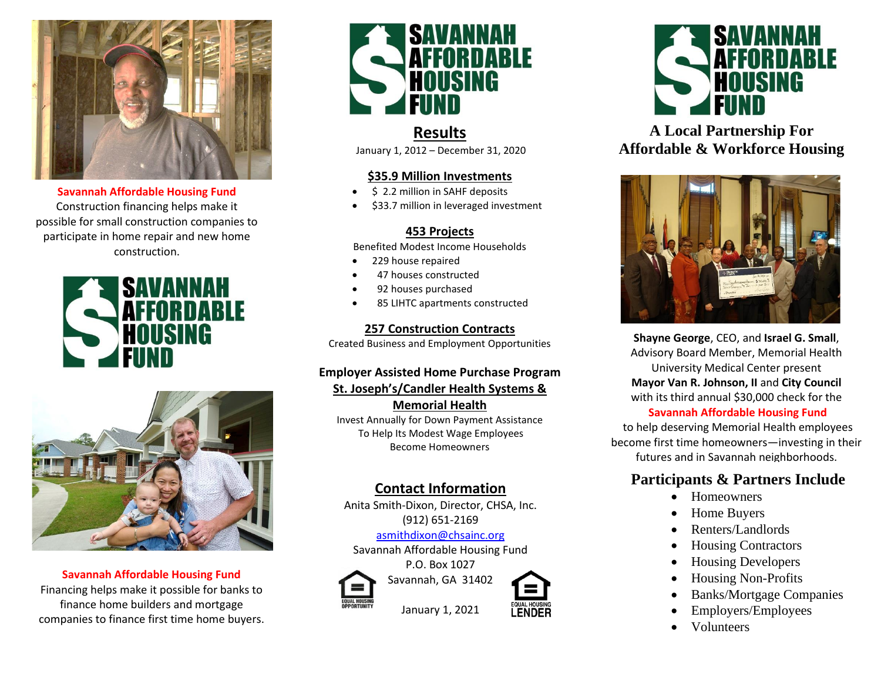

**Savannah Affordable Housing Fund**  Construction financing helps make it possible for small construction companies to participate in home repair and new home construction.





**Savannah Affordable Housing Fund**  Financing helps make it possible for banks to finance home builders and mortgage companies to finance first time home buyers.



# **Results**

January 1, 2012 – December 31, 2020

#### **\$35.9 Million Investments**

- \$ 2.2 million in SAHF deposits
- \$33.7 million in leveraged investment

### **453 Projects**

Benefited Modest Income Households

- 229 house repaired
- 47 houses constructed
- 92 houses purchased
- 85 LIHTC apartments constructed

#### **257 Construction Contracts**

Created Business and Employment Opportunities

## **Employer Assisted Home Purchase Program St. Joseph's/Candler Health Systems &**

**Memorial Health** Invest Annually for Down Payment Assistance To Help Its Modest Wage Employees Become Homeowners

## **Contact Information**

Anita Smith-Dixon, Director, CHSA, Inc. (912) 651-2169

#### [asmithdixon@c](mailto:asmithdixon@)hsainc.org

Savannah Affordable Housing Fund P.O. Box 1027



Savannah, GA 31402

January 1, 2021





**A Local Partnership For Affordable & Workforce Housing**



**Shayne George**, CEO, and **Israel G. Small**, Advisory Board Member, Memorial Health University Medical Center present **Mayor Van R. Johnson, II** and **City Council** with its third annual \$30,000 check for the **Savannah Affordable Housing Fund**

to help deserving Memorial Health employees become first time homeowners—investing in their futures and in Savannah neighborhoods.

# **Participants & Partners Include**

- Homeowners
- Home Buyers
- Renters/Landlords
- Housing Contractors
- Housing Developers
- Housing Non-Profits
- Banks/Mortgage Companies
- Employers/Employees
- Volunteers